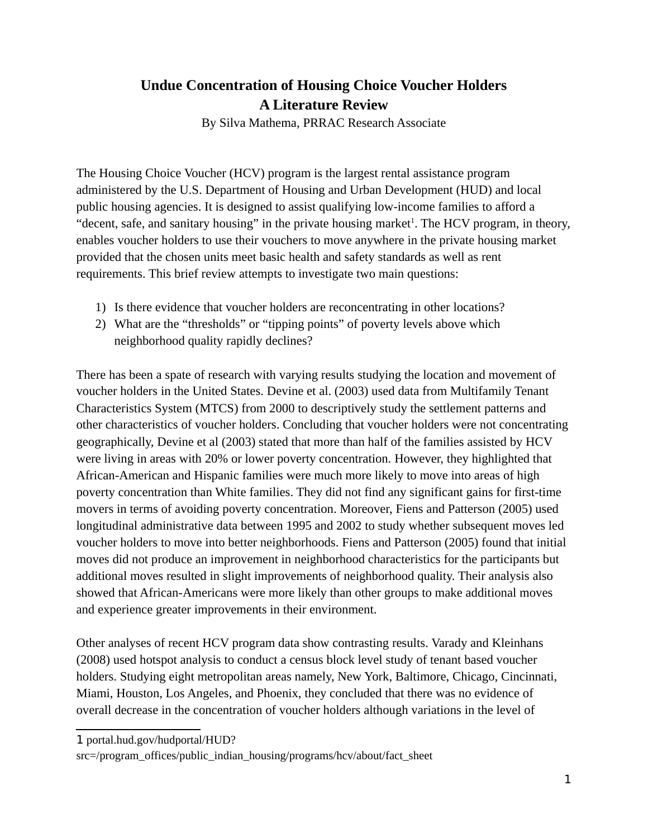## **Undue Concentration of Housing Choice Voucher Holders A Literature Review**

By Silva Mathema, PRRAC Research Associate

The Housing Choice Voucher (HCV) program is the largest rental assistance program administered by the U.S. Department of Housing and Urban Development (HUD) and local public housing agencies. It is designed to assist qualifying low-income families to afford a "decent, safe, and sanitary housing" in the private housing market<sup>[1](#page-0-0)</sup>. The HCV program, in theory, enables voucher holders to use their vouchers to move anywhere in the private housing market provided that the chosen units meet basic health and safety standards as well as rent requirements. This brief review attempts to investigate two main questions:

- 1) Is there evidence that voucher holders are reconcentrating in other locations?
- 2) What are the "thresholds" or "tipping points" of poverty levels above which neighborhood quality rapidly declines?

There has been a spate of research with varying results studying the location and movement of voucher holders in the United States. Devine et al. (2003) used data from Multifamily Tenant Characteristics System (MTCS) from 2000 to descriptively study the settlement patterns and other characteristics of voucher holders. Concluding that voucher holders were not concentrating geographically, Devine et al (2003) stated that more than half of the families assisted by HCV were living in areas with 20% or lower poverty concentration. However, they highlighted that African-American and Hispanic families were much more likely to move into areas of high poverty concentration than White families. They did not find any significant gains for first-time movers in terms of avoiding poverty concentration. Moreover, Fiens and Patterson (2005) used longitudinal administrative data between 1995 and 2002 to study whether subsequent moves led voucher holders to move into better neighborhoods. Fiens and Patterson (2005) found that initial moves did not produce an improvement in neighborhood characteristics for the participants but additional moves resulted in slight improvements of neighborhood quality. Their analysis also showed that African-Americans were more likely than other groups to make additional moves and experience greater improvements in their environment.

Other analyses of recent HCV program data show contrasting results. Varady and Kleinhans (2008) used hotspot analysis to conduct a census block level study of tenant based voucher holders. Studying eight metropolitan areas namely, New York, Baltimore, Chicago, Cincinnati, Miami, Houston, Los Angeles, and Phoenix, they concluded that there was no evidence of overall decrease in the concentration of voucher holders although variations in the level of

<span id="page-0-0"></span>1 portal.hud.gov/hudportal/HUD?

src=/program\_offices/public\_indian\_housing/programs/hcv/about/fact\_sheet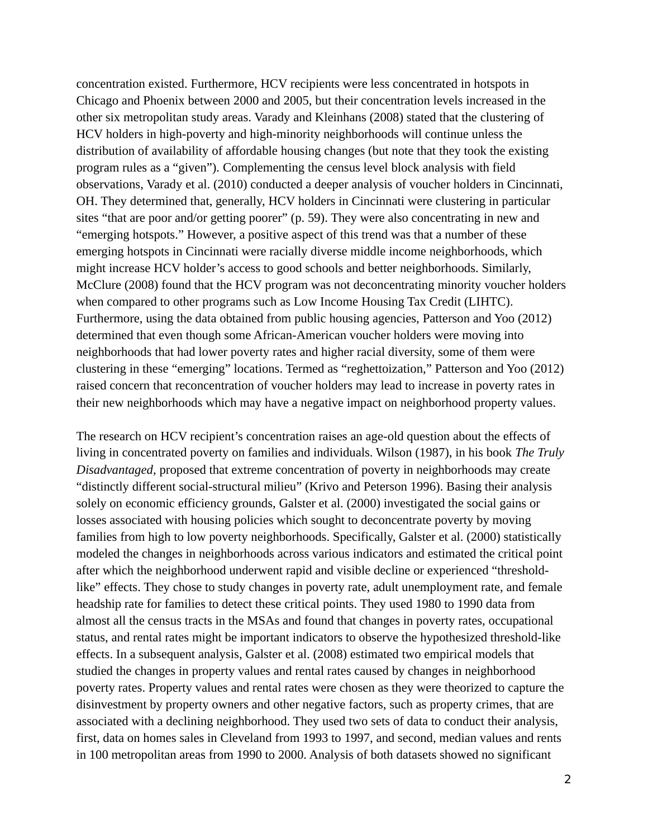concentration existed. Furthermore, HCV recipients were less concentrated in hotspots in Chicago and Phoenix between 2000 and 2005, but their concentration levels increased in the other six metropolitan study areas. Varady and Kleinhans (2008) stated that the clustering of HCV holders in high-poverty and high-minority neighborhoods will continue unless the distribution of availability of affordable housing changes (but note that they took the existing program rules as a "given"). Complementing the census level block analysis with field observations, Varady et al. (2010) conducted a deeper analysis of voucher holders in Cincinnati, OH. They determined that, generally, HCV holders in Cincinnati were clustering in particular sites "that are poor and/or getting poorer" (p. 59). They were also concentrating in new and "emerging hotspots." However, a positive aspect of this trend was that a number of these emerging hotspots in Cincinnati were racially diverse middle income neighborhoods, which might increase HCV holder's access to good schools and better neighborhoods. Similarly, McClure (2008) found that the HCV program was not deconcentrating minority voucher holders when compared to other programs such as Low Income Housing Tax Credit (LIHTC). Furthermore, using the data obtained from public housing agencies, Patterson and Yoo (2012) determined that even though some African-American voucher holders were moving into neighborhoods that had lower poverty rates and higher racial diversity, some of them were clustering in these "emerging" locations. Termed as "reghettoization," Patterson and Yoo (2012) raised concern that reconcentration of voucher holders may lead to increase in poverty rates in their new neighborhoods which may have a negative impact on neighborhood property values.

The research on HCV recipient's concentration raises an age-old question about the effects of living in concentrated poverty on families and individuals. Wilson (1987), in his book *The Truly Disadvantaged*, proposed that extreme concentration of poverty in neighborhoods may create "distinctly different social-structural milieu" (Krivo and Peterson 1996). Basing their analysis solely on economic efficiency grounds, Galster et al. (2000) investigated the social gains or losses associated with housing policies which sought to deconcentrate poverty by moving families from high to low poverty neighborhoods. Specifically, Galster et al. (2000) statistically modeled the changes in neighborhoods across various indicators and estimated the critical point after which the neighborhood underwent rapid and visible decline or experienced "thresholdlike" effects. They chose to study changes in poverty rate, adult unemployment rate, and female headship rate for families to detect these critical points. They used 1980 to 1990 data from almost all the census tracts in the MSAs and found that changes in poverty rates, occupational status, and rental rates might be important indicators to observe the hypothesized threshold-like effects. In a subsequent analysis, Galster et al. (2008) estimated two empirical models that studied the changes in property values and rental rates caused by changes in neighborhood poverty rates. Property values and rental rates were chosen as they were theorized to capture the disinvestment by property owners and other negative factors, such as property crimes, that are associated with a declining neighborhood. They used two sets of data to conduct their analysis, first, data on homes sales in Cleveland from 1993 to 1997, and second, median values and rents in 100 metropolitan areas from 1990 to 2000. Analysis of both datasets showed no significant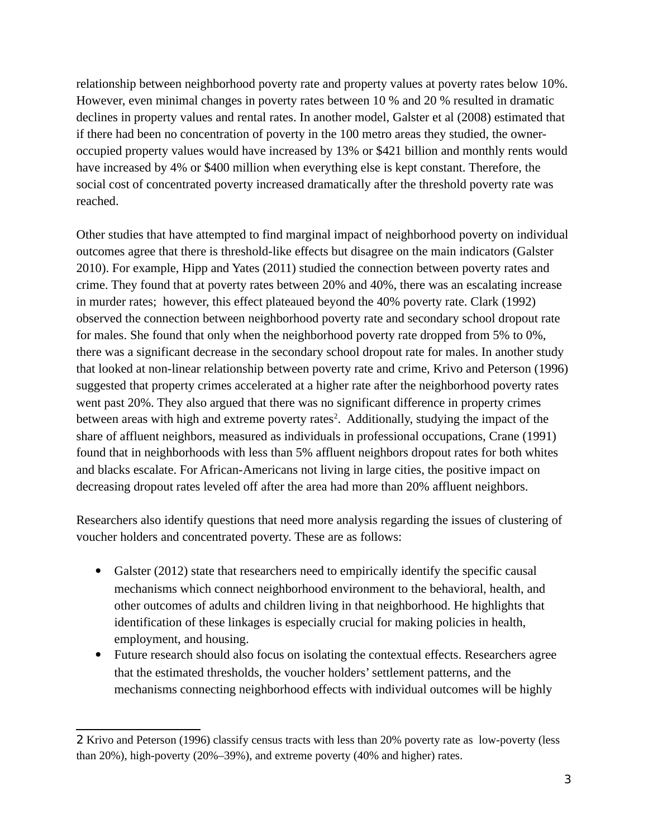relationship between neighborhood poverty rate and property values at poverty rates below 10%. However, even minimal changes in poverty rates between 10 % and 20 % resulted in dramatic declines in property values and rental rates. In another model, Galster et al (2008) estimated that if there had been no concentration of poverty in the 100 metro areas they studied, the owneroccupied property values would have increased by 13% or \$421 billion and monthly rents would have increased by 4% or \$400 million when everything else is kept constant. Therefore, the social cost of concentrated poverty increased dramatically after the threshold poverty rate was reached.

Other studies that have attempted to find marginal impact of neighborhood poverty on individual outcomes agree that there is threshold-like effects but disagree on the main indicators (Galster 2010). For example, Hipp and Yates (2011) studied the connection between poverty rates and crime. They found that at poverty rates between 20% and 40%, there was an escalating increase in murder rates; however, this effect plateaued beyond the 40% poverty rate. Clark (1992) observed the connection between neighborhood poverty rate and secondary school dropout rate for males. She found that only when the neighborhood poverty rate dropped from 5% to 0%, there was a significant decrease in the secondary school dropout rate for males. In another study that looked at non-linear relationship between poverty rate and crime, Krivo and Peterson (1996) suggested that property crimes accelerated at a higher rate after the neighborhood poverty rates went past 20%. They also argued that there was no significant difference in property crimes between areas with high and extreme poverty rates<sup>[2](#page-2-0)</sup>. Additionally, studying the impact of the share of affluent neighbors, measured as individuals in professional occupations, Crane (1991) found that in neighborhoods with less than 5% affluent neighbors dropout rates for both whites and blacks escalate. For African-Americans not living in large cities, the positive impact on decreasing dropout rates leveled off after the area had more than 20% affluent neighbors.

Researchers also identify questions that need more analysis regarding the issues of clustering of voucher holders and concentrated poverty. These are as follows:

- Galster (2012) state that researchers need to empirically identify the specific causal mechanisms which connect neighborhood environment to the behavioral, health, and other outcomes of adults and children living in that neighborhood. He highlights that identification of these linkages is especially crucial for making policies in health, employment, and housing.
- Future research should also focus on isolating the contextual effects. Researchers agree that the estimated thresholds, the voucher holders' settlement patterns, and the mechanisms connecting neighborhood effects with individual outcomes will be highly

<span id="page-2-0"></span><sup>2</sup> Krivo and Peterson (1996) classify census tracts with less than 20% poverty rate as low-poverty (less than 20%), high-poverty (20%–39%), and extreme poverty (40% and higher) rates.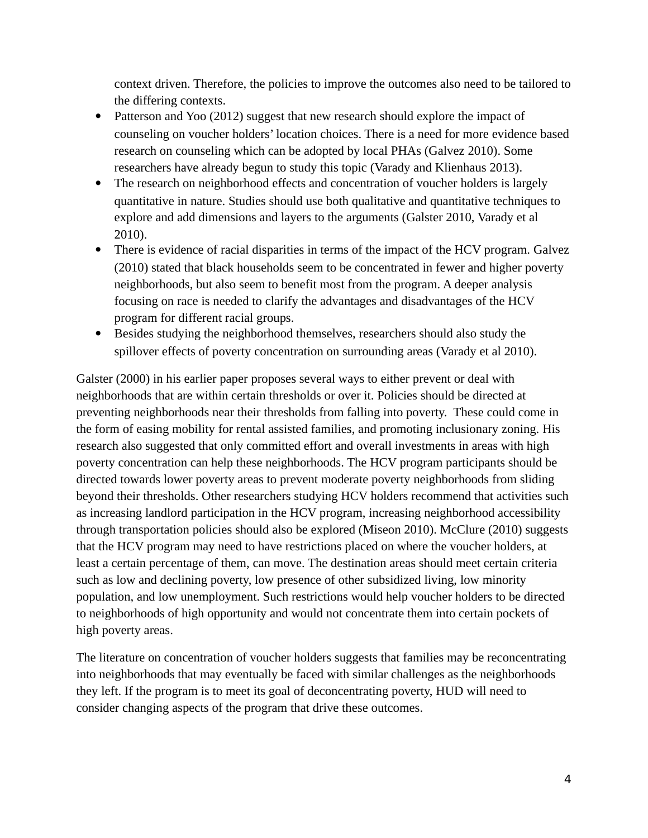context driven. Therefore, the policies to improve the outcomes also need to be tailored to the differing contexts.

- Patterson and Yoo (2012) suggest that new research should explore the impact of counseling on voucher holders' location choices. There is a need for more evidence based research on counseling which can be adopted by local PHAs (Galvez 2010). Some researchers have already begun to study this topic (Varady and Klienhaus 2013).
- The research on neighborhood effects and concentration of voucher holders is largely quantitative in nature. Studies should use both qualitative and quantitative techniques to explore and add dimensions and layers to the arguments (Galster 2010, Varady et al 2010).
- There is evidence of racial disparities in terms of the impact of the HCV program. Galvez (2010) stated that black households seem to be concentrated in fewer and higher poverty neighborhoods, but also seem to benefit most from the program. A deeper analysis focusing on race is needed to clarify the advantages and disadvantages of the HCV program for different racial groups.
- Besides studying the neighborhood themselves, researchers should also study the spillover effects of poverty concentration on surrounding areas (Varady et al 2010).

Galster (2000) in his earlier paper proposes several ways to either prevent or deal with neighborhoods that are within certain thresholds or over it. Policies should be directed at preventing neighborhoods near their thresholds from falling into poverty. These could come in the form of easing mobility for rental assisted families, and promoting inclusionary zoning. His research also suggested that only committed effort and overall investments in areas with high poverty concentration can help these neighborhoods. The HCV program participants should be directed towards lower poverty areas to prevent moderate poverty neighborhoods from sliding beyond their thresholds. Other researchers studying HCV holders recommend that activities such as increasing landlord participation in the HCV program, increasing neighborhood accessibility through transportation policies should also be explored (Miseon 2010). McClure (2010) suggests that the HCV program may need to have restrictions placed on where the voucher holders, at least a certain percentage of them, can move. The destination areas should meet certain criteria such as low and declining poverty, low presence of other subsidized living, low minority population, and low unemployment. Such restrictions would help voucher holders to be directed to neighborhoods of high opportunity and would not concentrate them into certain pockets of high poverty areas.

The literature on concentration of voucher holders suggests that families may be reconcentrating into neighborhoods that may eventually be faced with similar challenges as the neighborhoods they left. If the program is to meet its goal of deconcentrating poverty, HUD will need to consider changing aspects of the program that drive these outcomes.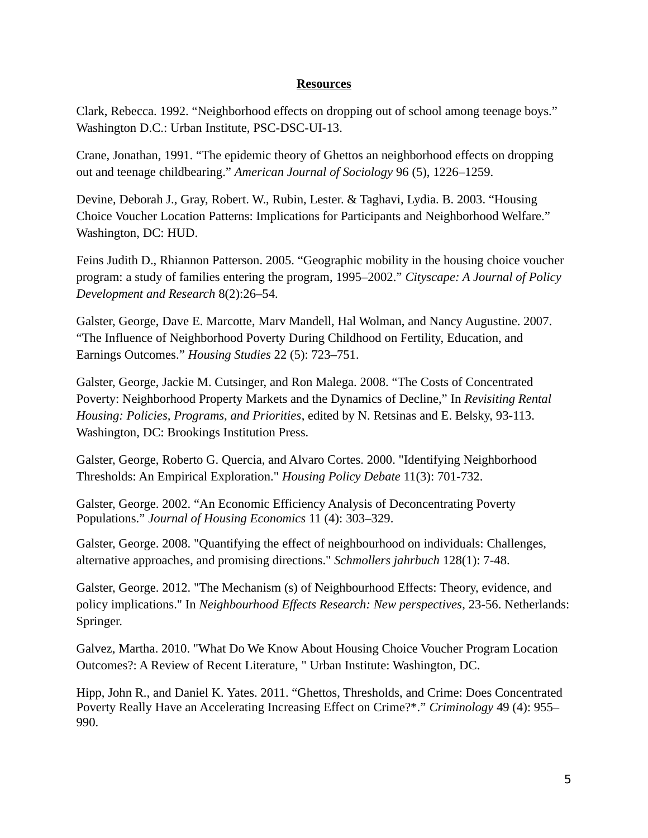## **Resources**

Clark, Rebecca. 1992. "Neighborhood effects on dropping out of school among teenage boys." Washington D.C.: Urban Institute, PSC-DSC-UI-13.

Crane, Jonathan, 1991. "The epidemic theory of Ghettos an neighborhood effects on dropping out and teenage childbearing." *American Journal of Sociology* 96 (5), 1226–1259.

Devine, Deborah J., Gray, Robert. W., Rubin, Lester. & Taghavi, Lydia. B. 2003. "Housing Choice Voucher Location Patterns: Implications for Participants and Neighborhood Welfare." Washington, DC: HUD.

Feins Judith D., Rhiannon Patterson. 2005. "Geographic mobility in the housing choice voucher program: a study of families entering the program, 1995–2002." *Cityscape: A Journal of Policy Development and Research* 8(2):26–54.

Galster, George, Dave E. Marcotte, Marv Mandell, Hal Wolman, and Nancy Augustine. 2007. "The Influence of Neighborhood Poverty During Childhood on Fertility, Education, and Earnings Outcomes." *Housing Studies* 22 (5): 723–751.

Galster, George, Jackie M. Cutsinger, and Ron Malega. 2008. "The Costs of Concentrated Poverty: Neighborhood Property Markets and the Dynamics of Decline," In *Revisiting Rental Housing: Policies, Programs, and Priorities*, edited by N. Retsinas and E. Belsky, 93-113. Washington, DC: Brookings Institution Press.

Galster, George, Roberto G. Quercia, and Alvaro Cortes. 2000. "Identifying Neighborhood Thresholds: An Empirical Exploration." *Housing Policy Debate* 11(3): 701-732.

Galster, George. 2002. "An Economic Efficiency Analysis of Deconcentrating Poverty Populations." *Journal of Housing Economics* 11 (4): 303–329.

Galster, George. 2008. "Quantifying the effect of neighbourhood on individuals: Challenges, alternative approaches, and promising directions." *Schmollers jahrbuch* 128(1): 7-48.

Galster, George. 2012. "The Mechanism (s) of Neighbourhood Effects: Theory, evidence, and policy implications." In *Neighbourhood Effects Research: New perspectives*, 23-56. Netherlands: Springer.

Galvez, Martha. 2010. "What Do We Know About Housing Choice Voucher Program Location Outcomes?: A Review of Recent Literature, " Urban Institute: Washington, DC.

Hipp, John R., and Daniel K. Yates. 2011. "Ghettos, Thresholds, and Crime: Does Concentrated Poverty Really Have an Accelerating Increasing Effect on Crime?\*." *Criminology* 49 (4): 955– 990.